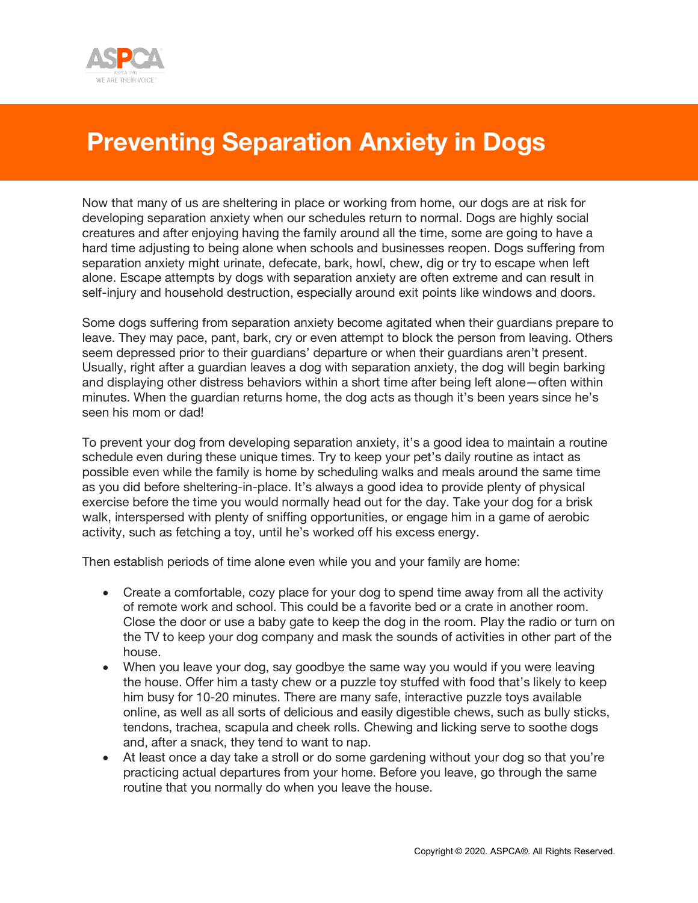

## **Preventing Separation Anxiety in Dogs**

Now that many of us are sheltering in place or working from home, our dogs are at risk for developing separation anxiety when our schedules return to normal. Dogs are highly social creatures and after enjoying having the family around all the time, some are going to have a hard time adjusting to being alone when schools and businesses reopen. Dogs suffering from separation anxiety might urinate, defecate, bark, howl, chew, dig or try to escape when left alone. Escape attempts by dogs with separation anxiety are often extreme and can result in self-injury and household destruction, especially around exit points like windows and doors.

Some dogs suffering from separation anxiety become agitated when their guardians prepare to leave. They may pace, pant, bark, cry or even attempt to block the person from leaving. Others seem depressed prior to their guardians' departure or when their guardians aren't present. Usually, right after a guardian leaves a dog with separation anxiety, the dog will begin barking and displaying other distress behaviors within a short time after being left alone—often within minutes. When the guardian returns home, the dog acts as though it's been years since he's seen his mom or dad!

To prevent your dog from developing separation anxiety, it's a good idea to maintain a routine schedule even during these unique times. Try to keep your pet's daily routine as intact as possible even while the family is home by scheduling walks and meals around the same time as you did before sheltering-in-place. It's always a good idea to provide plenty of physical exercise before the time you would normally head out for the day. Take your dog for a brisk walk, interspersed with plenty of sniffing opportunities, or engage him in a game of aerobic activity, such as fetching a toy, until he's worked off his excess energy.

Then establish periods of time alone even while you and your family are home:

- Create a comfortable, cozy place for your dog to spend time away from all the activity of remote work and school. This could be a favorite bed or a crate in another room. Close the door or use a baby gate to keep the dog in the room. Play the radio or turn on the TV to keep your dog company and mask the sounds of activities in other part of the house.
- When you leave your dog, say goodbye the same way you would if you were leaving the house. Offer him a tasty chew or a puzzle toy stuffed with food that's likely to keep him busy for 10-20 minutes. There are many safe, interactive puzzle toys available online, as well as all sorts of delicious and easily digestible chews, such as bully sticks, tendons, trachea, scapula and cheek rolls. Chewing and licking serve to soothe dogs and, after a snack, they tend to want to nap.
- At least once a day take a stroll or do some gardening without your dog so that you're practicing actual departures from your home. Before you leave, go through the same routine that you normally do when you leave the house.